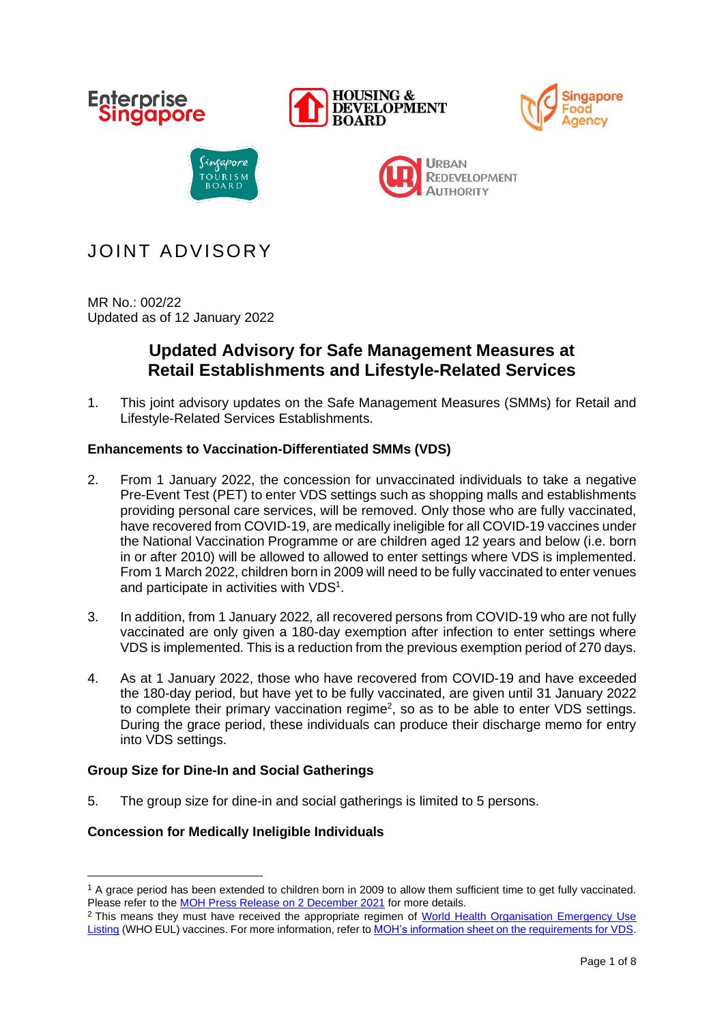

# JOINT ADVISORY

MR No.: 002/22 Updated as of 12 January 2022

# **Updated Advisory for Safe Management Measures at Retail Establishments and Lifestyle-Related Services**

1. This joint advisory updates on the Safe Management Measures (SMMs) for Retail and Lifestyle-Related Services Establishments.

# **Enhancements to Vaccination-Differentiated SMMs (VDS)**

- 2. From 1 January 2022, the concession for unvaccinated individuals to take a negative Pre-Event Test (PET) to enter VDS settings such as shopping malls and establishments providing personal care services, will be removed. Only those who are fully vaccinated, have recovered from COVID-19, are medically ineligible for all COVID-19 vaccines under the National Vaccination Programme or are children aged 12 years and below (i.e. born in or after 2010) will be allowed to allowed to enter settings where VDS is implemented. From 1 March 2022, children born in 2009 will need to be fully vaccinated to enter venues and participate in activities with VDS<sup>1</sup>.
- 3. In addition, from 1 January 2022, all recovered persons from COVID-19 who are not fully vaccinated are only given a 180-day exemption after infection to enter settings where VDS is implemented. This is a reduction from the previous exemption period of 270 days.
- 4. As at 1 January 2022, those who have recovered from COVID-19 and have exceeded the 180-day period, but have yet to be fully vaccinated, are given until 31 January 2022 to complete their primary vaccination regime<sup>2</sup>, so as to be able to enter VDS settings. During the grace period, these individuals can produce their discharge memo for entry into VDS settings.

# **Group Size for Dine-In and Social Gatherings**

5. The group size for dine-in and social gatherings is limited to 5 persons.

# **Concession for Medically Ineligible Individuals**

<sup>&</sup>lt;sup>1</sup> A grace period has been extended to children born in 2009 to allow them sufficient time to get fully vaccinated. Please refer to the [MOH Press Release on 2 December 2021](https://www.moh.gov.sg/news-highlights/details/reminder-to-complete-primary-series-of-sinovac-coronavac-and-sinopharm-vaccines_2Dec2021) for more details.

<sup>&</sup>lt;sup>2</sup> This means they must have received the appropriate regimen of World Health Organisation Emergency Use [Listing](https://www.who.int/emergencies/diseases/novel-coronavirus-2019/covid-19-vaccines) (WHO EUL) vaccines. For more information, refer to **MOH's information sheet on the requirements for VDS**.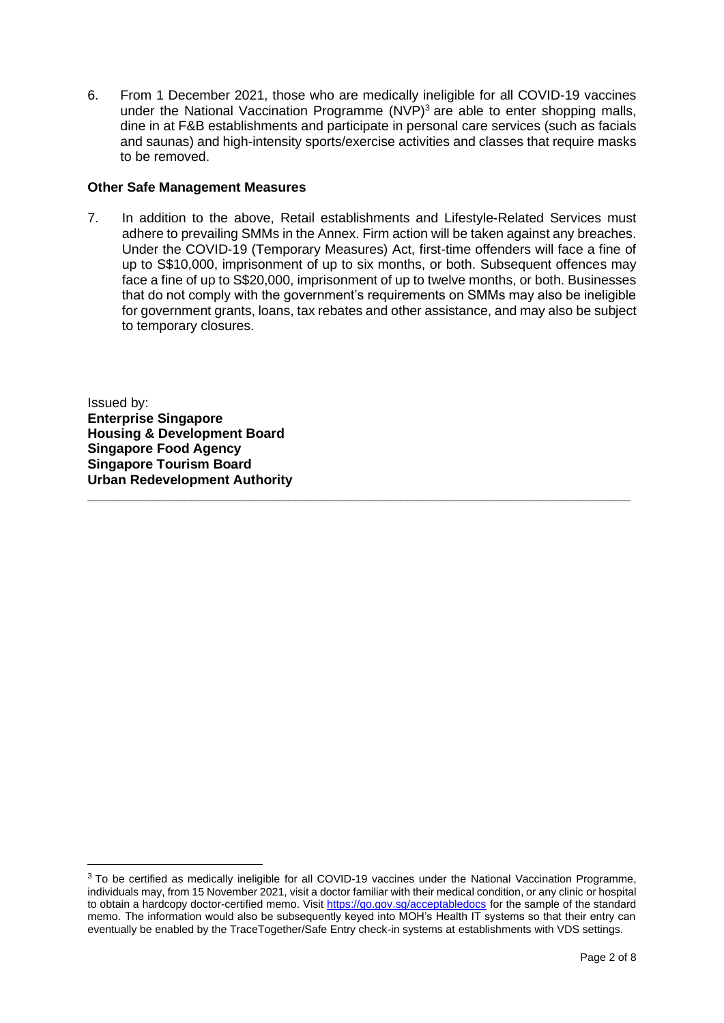6. From 1 December 2021, those who are medically ineligible for all COVID-19 vaccines under the National Vaccination Programme  $(NVP)^3$  are able to enter shopping malls, dine in at F&B establishments and participate in personal care services (such as facials and saunas) and high-intensity sports/exercise activities and classes that require masks to be removed.

#### **Other Safe Management Measures**

7. In addition to the above, Retail establishments and Lifestyle-Related Services must adhere to prevailing SMMs in the Annex. Firm action will be taken against any breaches. Under the COVID-19 (Temporary Measures) Act, first-time offenders will face a fine of up to S\$10,000, imprisonment of up to six months, or both. Subsequent offences may face a fine of up to S\$20,000, imprisonment of up to twelve months, or both. Businesses that do not comply with the government's requirements on SMMs may also be ineligible for government grants, loans, tax rebates and other assistance, and may also be subject to temporary closures.

**\_\_\_\_\_\_\_\_\_\_\_\_\_\_\_\_\_\_\_\_\_\_\_\_\_\_\_\_\_\_\_\_\_\_\_\_\_\_\_\_\_\_\_\_\_\_\_\_\_\_\_\_\_\_\_\_\_\_\_\_\_\_\_\_\_\_\_\_\_\_\_\_\_**

Issued by: **Enterprise Singapore Housing & Development Board Singapore Food Agency Singapore Tourism Board Urban Redevelopment Authority**

<sup>3</sup> To be certified as medically ineligible for all COVID-19 vaccines under the National Vaccination Programme, individuals may, from 15 November 2021, visit a doctor familiar with their medical condition, or any clinic or hospital to obtain a hardcopy doctor-certified memo. Visit<https://go.gov.sg/acceptabledocs> for the sample of the standard memo. The information would also be subsequently keyed into MOH's Health IT systems so that their entry can eventually be enabled by the TraceTogether/Safe Entry check-in systems at establishments with VDS settings.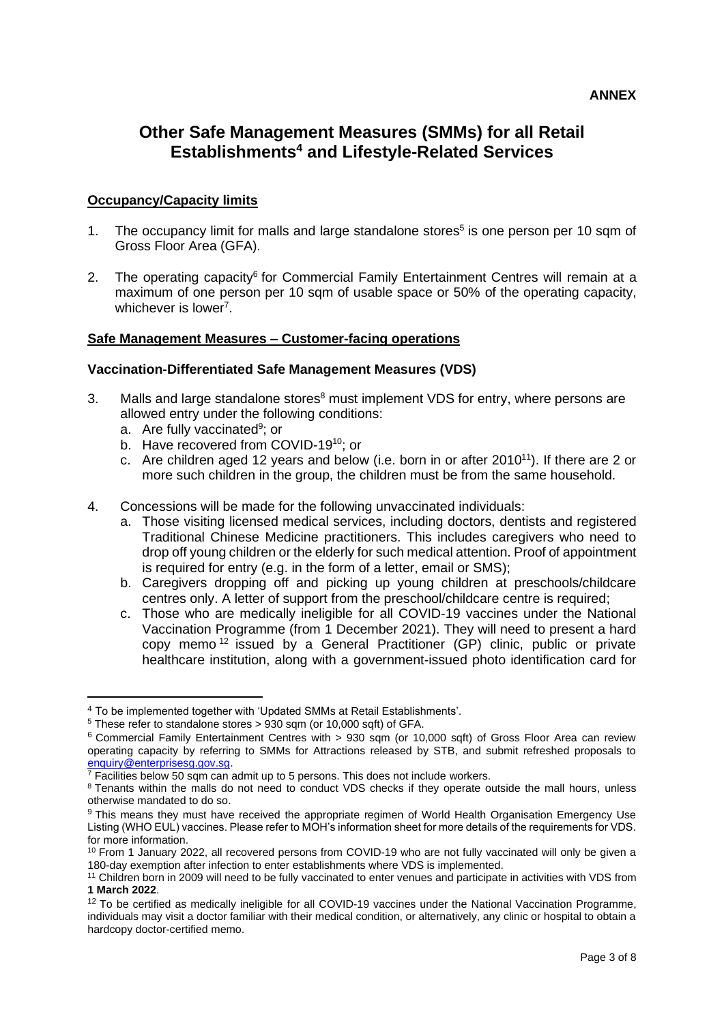# **Other Safe Management Measures (SMMs) for all Retail Establishments<sup>4</sup> and Lifestyle-Related Services**

# **Occupancy/Capacity limits**

- 1. The occupancy limit for malls and large standalone stores<sup>5</sup> is one person per 10 sqm of Gross Floor Area (GFA).
- 2. The operating capacity<sup>6</sup> for Commercial Family Entertainment Centres will remain at a maximum of one person per 10 sqm of usable space or 50% of the operating capacity, whichever is lower<sup>7</sup>.

# **Safe Management Measures – Customer-facing operations**

#### **Vaccination-Differentiated Safe Management Measures (VDS)**

- 3. Malls and large standalone stores<sup>8</sup> must implement VDS for entry, where persons are allowed entry under the following conditions:
	- a. Are fully vaccinated<sup>9</sup>; or
	- b. Have recovered from COVID-19<sup>10</sup>; or
	- c. Are children aged 12 years and below (i.e. born in or after 2010<sup>11</sup>). If there are 2 or more such children in the group, the children must be from the same household.
- 4. Concessions will be made for the following unvaccinated individuals:
	- a. Those visiting licensed medical services, including doctors, dentists and registered Traditional Chinese Medicine practitioners. This includes caregivers who need to drop off young children or the elderly for such medical attention. Proof of appointment is required for entry (e.g. in the form of a letter, email or SMS);
	- b. Caregivers dropping off and picking up young children at preschools/childcare centres only. A letter of support from the preschool/childcare centre is required;
	- c. Those who are medically ineligible for all COVID-19 vaccines under the National Vaccination Programme (from 1 December 2021). They will need to present a hard copy memo <sup>12</sup> issued by a General Practitioner (GP) clinic, public or private healthcare institution, along with a government-issued photo identification card for

<sup>4</sup> To be implemented together with 'Updated SMMs at Retail Establishments'.

<sup>5</sup> These refer to standalone stores > 930 sqm (or 10,000 sqft) of GFA.

<sup>&</sup>lt;sup>6</sup> Commercial Family Entertainment Centres with > 930 sqm (or 10,000 sqft) of Gross Floor Area can review operating capacity by referring to SMMs for Attractions released by STB, and submit refreshed proposals to [enquiry@enterprisesg.gov.sg.](mailto:enquiry@enterprisesg.gov.sg)

 $\frac{7}{7}$  Facilities below 50 sqm can admit up to 5 persons. This does not include workers.

<sup>&</sup>lt;sup>8</sup> Tenants within the malls do not need to conduct VDS checks if they operate outside the mall hours, unless otherwise mandated to do so.

<sup>9</sup> This means they must have received the appropriate regimen of World Health Organisation Emergency Use Listing (WHO EUL) vaccines. Please refer to MOH's information sheet for more details of the requirements for VDS. for more information.

<sup>&</sup>lt;sup>10</sup> From 1 January 2022, all recovered persons from COVID-19 who are not fully vaccinated will only be given a 180-day exemption after infection to enter establishments where VDS is implemented.

<sup>11</sup> Children born in 2009 will need to be fully vaccinated to enter venues and participate in activities with VDS from **1 March 2022**.

<sup>&</sup>lt;sup>12</sup> To be certified as medically ineligible for all COVID-19 vaccines under the National Vaccination Programme, individuals may visit a doctor familiar with their medical condition, or alternatively, any clinic or hospital to obtain a hardcopy doctor-certified memo.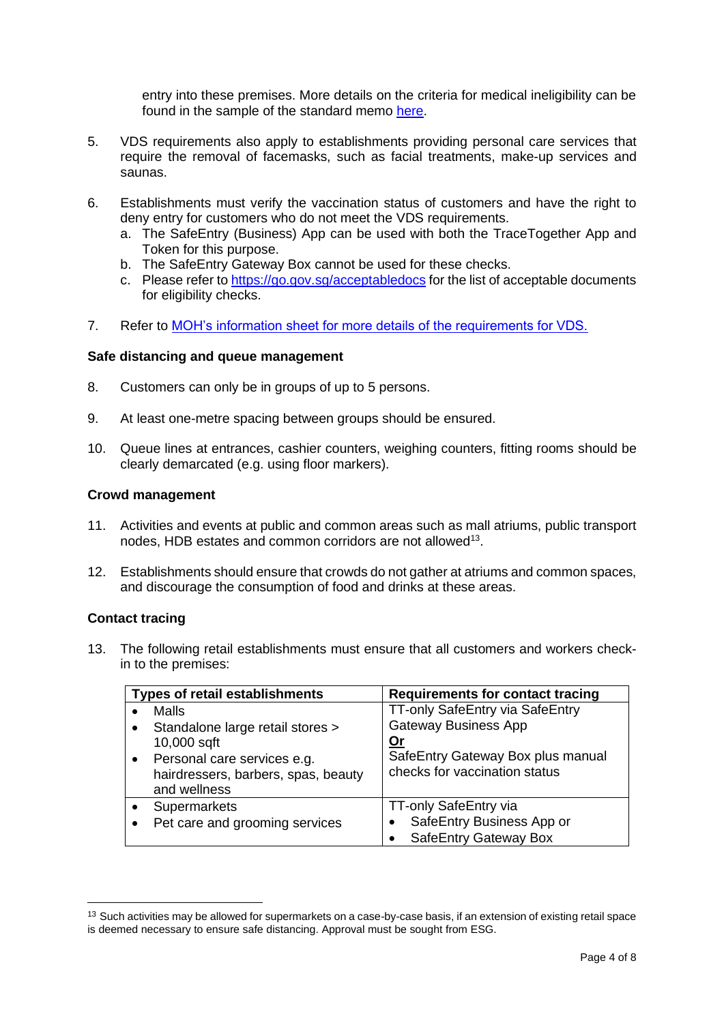entry into these premises. More details on the criteria for medical ineligibility can be found in the sample of the standard memo [here.](https://go.gov.sg/acceptabledocs)

- 5. VDS requirements also apply to establishments providing personal care services that require the removal of facemasks, such as facial treatments, make-up services and saunas.
- 6. Establishments must verify the vaccination status of customers and have the right to deny entry for customers who do not meet the VDS requirements.
	- a. The SafeEntry (Business) App can be used with both the TraceTogether App and Token for this purpose.
	- b. The SafeEntry Gateway Box cannot be used for these checks.
	- c. Please refer to <https://go.gov.sg/acceptabledocs> for the list of acceptable documents for eligibility checks.
- 7. Refer to [MOH's information sheet for more details of the requirements for VDS.](https://go.gov.sg/vdsmminfo)

#### **Safe distancing and queue management**

- 8. Customers can only be in groups of up to 5 persons.
- 9. At least one-metre spacing between groups should be ensured.
- 10. Queue lines at entrances, cashier counters, weighing counters, fitting rooms should be clearly demarcated (e.g. using floor markers).

#### **Crowd management**

- 11. Activities and events at public and common areas such as mall atriums, public transport nodes, HDB estates and common corridors are not allowed<sup>13</sup>.
- 12. Establishments should ensure that crowds do not gather at atriums and common spaces, and discourage the consumption of food and drinks at these areas.

#### **Contact tracing**

13. The following retail establishments must ensure that all customers and workers checkin to the premises:

| <b>Types of retail establishments</b>                        | <b>Requirements for contact tracing</b>                            |
|--------------------------------------------------------------|--------------------------------------------------------------------|
| Malls                                                        | TT-only SafeEntry via SafeEntry                                    |
| Standalone large retail stores ><br>$\bullet$<br>10,000 sqft | <b>Gateway Business App</b><br><u>Or</u>                           |
| Personal care services e.g.<br>$\bullet$                     | SafeEntry Gateway Box plus manual<br>checks for vaccination status |
| hairdressers, barbers, spas, beauty<br>and wellness          |                                                                    |
| Supermarkets                                                 | TT-only SafeEntry via                                              |
| Pet care and grooming services                               | SafeEntry Business App or<br>٠                                     |
|                                                              | <b>SafeEntry Gateway Box</b>                                       |

 $13$  Such activities may be allowed for supermarkets on a case-by-case basis, if an extension of existing retail space is deemed necessary to ensure safe distancing. Approval must be sought from ESG.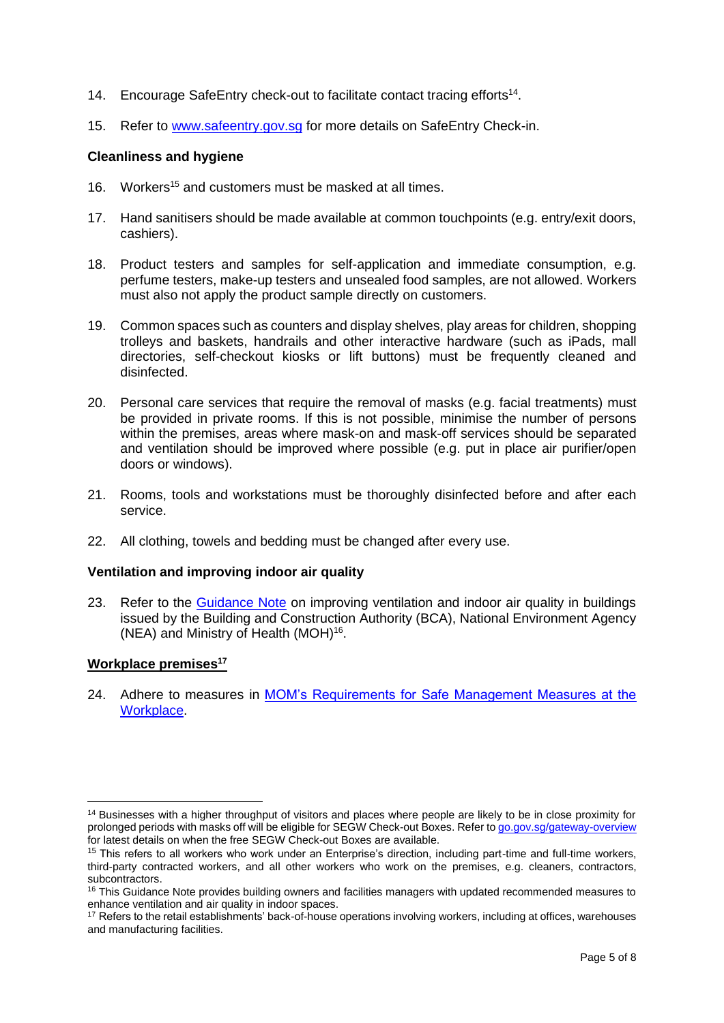- 14. Encourage SafeEntry check-out to facilitate contact tracing efforts<sup>14</sup>.
- 15. Refer to [www.safeentry.gov.sg](http://www.safeentry.gov.sg/) for more details on SafeEntry Check-in.

#### **Cleanliness and hygiene**

- 16. Workers <sup>15</sup> and customers must be masked at all times.
- 17. Hand sanitisers should be made available at common touchpoints (e.g. entry/exit doors, cashiers).
- 18. Product testers and samples for self-application and immediate consumption, e.g. perfume testers, make-up testers and unsealed food samples, are not allowed. Workers must also not apply the product sample directly on customers.
- 19. Common spaces such as counters and display shelves, play areas for children, shopping trolleys and baskets, handrails and other interactive hardware (such as iPads, mall directories, self-checkout kiosks or lift buttons) must be frequently cleaned and disinfected.
- 20. Personal care services that require the removal of masks (e.g. facial treatments) must be provided in private rooms. If this is not possible, minimise the number of persons within the premises, areas where mask-on and mask-off services should be separated and ventilation should be improved where possible (e.g. put in place air purifier/open doors or windows).
- 21. Rooms, tools and workstations must be thoroughly disinfected before and after each service.
- 22. All clothing, towels and bedding must be changed after every use.

#### **Ventilation and improving indoor air quality**

23. Refer to the [Guidance Note](https://go.gov.sg/bca-nea-moh-guidance-improve-ventilation) on improving ventilation and indoor air quality in buildings issued by the Building and Construction Authority (BCA), National Environment Agency (NEA) and Ministry of Health (MOH)<sup>16</sup>.

#### **Workplace premises<sup>17</sup>**

24. Adhere to measures in MOM's Requirements for Safe Management Measures at the [Workplace.](https://www.mom.gov.sg/covid-19/requirements-for-safe-management-measures)

<sup>&</sup>lt;sup>14</sup> Businesses with a higher throughput of visitors and places where people are likely to be in close proximity for prolonged periods with masks off will be eligible for SEGW Check-out Boxes. Refer t[o go.gov.sg/gateway-overview](file:///C:/Users/SNDGOSLXA/AppData/Local/Microsoft/Windows/INetCache/Content.Outlook/L8UGYRX3/go.gov.sg/gateway-overview) for latest details on when the free SEGW Check-out Boxes are available.

<sup>&</sup>lt;sup>15</sup> This refers to all workers who work under an Enterprise's direction, including part-time and full-time workers, third-party contracted workers, and all other workers who work on the premises, e.g. cleaners, contractors, subcontractors.

<sup>&</sup>lt;sup>16</sup> This Guidance Note provides building owners and facilities managers with updated recommended measures to enhance ventilation and air quality in indoor spaces.

<sup>&</sup>lt;sup>17</sup> Refers to the retail establishments' back-of-house operations involving workers, including at offices, warehouses and manufacturing facilities.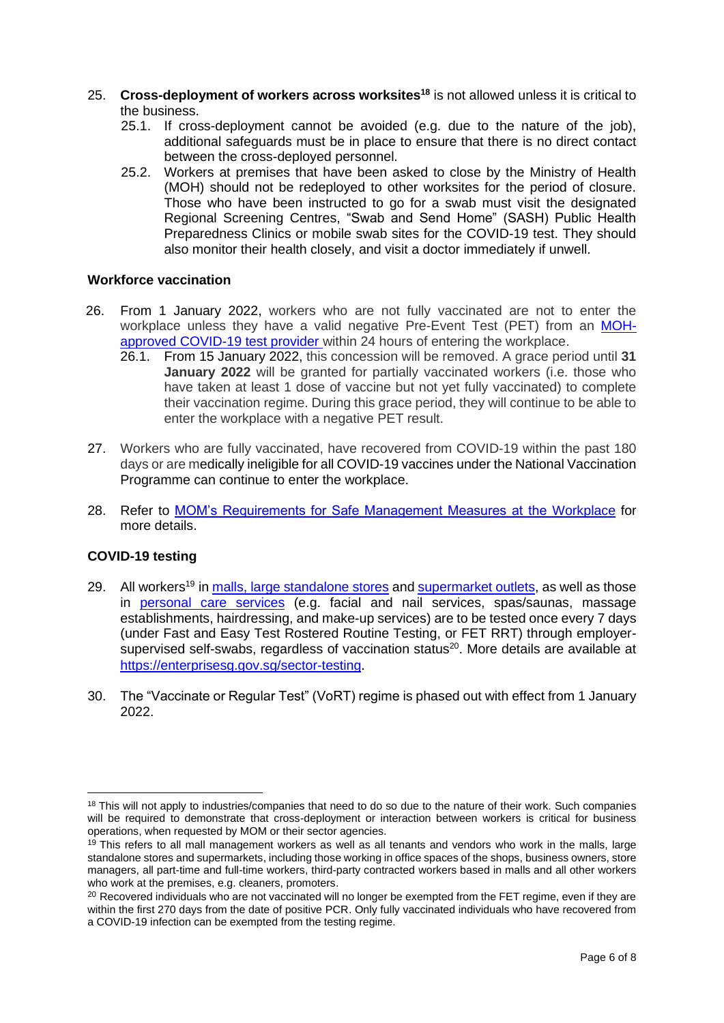- 25. **Cross-deployment of workers across worksites<sup>18</sup>** is not allowed unless it is critical to the business.
	- 25.1. If cross-deployment cannot be avoided (e.g. due to the nature of the job), additional safeguards must be in place to ensure that there is no direct contact between the cross-deployed personnel.
	- 25.2. Workers at premises that have been asked to close by the Ministry of Health (MOH) should not be redeployed to other worksites for the period of closure. Those who have been instructed to go for a swab must visit the designated Regional Screening Centres, "Swab and Send Home" (SASH) Public Health Preparedness Clinics or mobile swab sites for the COVID-19 test. They should also monitor their health closely, and visit a doctor immediately if unwell.

### **Workforce vaccination**

- 26. From 1 January 2022, workers who are not fully vaccinated are not to enter the workplace unless they have a valid negative Pre-Event Test (PET) from an [MOH](https://www.moh.gov.sg/licensing-and-regulation/regulations-guidelines-and-circulars/details/list-of-covid-19-swab-providers)[approved COVID-19 test provider](https://www.moh.gov.sg/licensing-and-regulation/regulations-guidelines-and-circulars/details/list-of-covid-19-swab-providers) within 24 hours of entering the workplace.
	- 26.1. From 15 January 2022, this concession will be removed. A grace period until **31 January 2022** will be granted for partially vaccinated workers (i.e. those who have taken at least 1 dose of vaccine but not yet fully vaccinated) to complete their vaccination regime. During this grace period, they will continue to be able to enter the workplace with a negative PET result.
- 27. Workers who are fully vaccinated, have recovered from COVID-19 within the past 180 days or are medically ineligible for all COVID-19 vaccines under the National Vaccination Programme can continue to enter the workplace.
- 28. Refer to [MOM's Requirements for Safe Management Measures at the Workplace](https://www.mom.gov.sg/covid-19/requirements-for-safe-management-measures) for more details.

# **COVID-19 testing**

- 29. All workers<sup>19</sup> in [malls, large standalone stores](https://www.gobusiness.gov.sg/images/guides/FET%20Notice_Retail%20Malls%20and%20Large%20Standalone%20Stores%20011021%20Clean.pdf) and [supermarket outlets,](https://www.gobusiness.gov.sg/images/guides/FET%20Notice%20for%20Supermarkets.pdf) as well as those in [personal care services](https://www.gobusiness.gov.sg/images/guides/Stringent%20FET%20Notice_081021%20PCS_Final.pdf) (e.g. facial and nail services, spas/saunas, massage establishments, hairdressing, and make-up services) are to be tested once every 7 days (under Fast and Easy Test Rostered Routine Testing, or FET RRT) through employersupervised self-swabs, regardless of vaccination status<sup>20</sup>. More details are available at <https://enterprisesg.gov.sg/sector-testing>.
- 30. The "Vaccinate or Regular Test" (VoRT) regime is phased out with effect from 1 January 2022.

<sup>&</sup>lt;sup>18</sup> This will not apply to industries/companies that need to do so due to the nature of their work. Such companies will be required to demonstrate that cross-deployment or interaction between workers is critical for business operations, when requested by MOM or their sector agencies.

<sup>&</sup>lt;sup>19</sup> This refers to all mall management workers as well as all tenants and vendors who work in the malls, large standalone stores and supermarkets, including those working in office spaces of the shops, business owners, store managers, all part-time and full-time workers, third-party contracted workers based in malls and all other workers who work at the premises, e.g. cleaners, promoters.

<sup>&</sup>lt;sup>20</sup> Recovered individuals who are not vaccinated will no longer be exempted from the FET regime, even if they are within the first 270 days from the date of positive PCR. Only fully vaccinated individuals who have recovered from a COVID-19 infection can be exempted from the testing regime.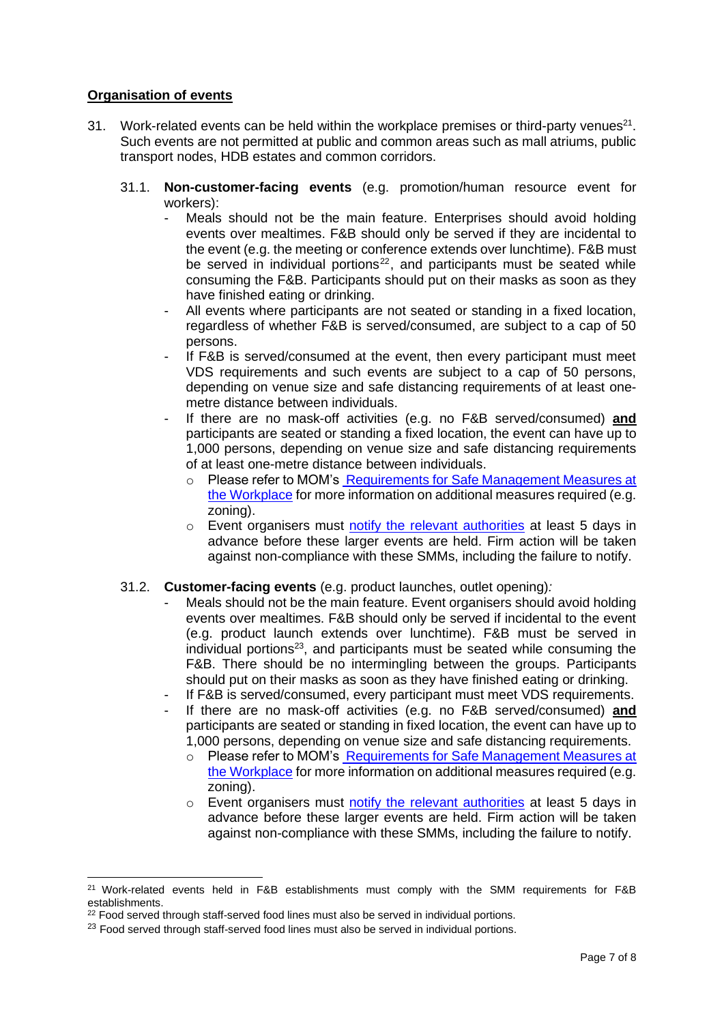## **Organisation of events**

- 31. Work-related events can be held within the workplace premises or third-party venues<sup>21</sup>. Such events are not permitted at public and common areas such as mall atriums, public transport nodes, HDB estates and common corridors.
	- 31.1. **Non-customer-facing events** (e.g. promotion/human resource event for workers):
		- Meals should not be the main feature. Enterprises should avoid holding events over mealtimes. F&B should only be served if they are incidental to the event (e.g. the meeting or conference extends over lunchtime). F&B must be served in individual portions $^{22}$ , and participants must be seated while consuming the F&B. Participants should put on their masks as soon as they have finished eating or drinking.
		- All events where participants are not seated or standing in a fixed location, regardless of whether F&B is served/consumed, are subject to a cap of 50 persons.
		- If F&B is served/consumed at the event, then every participant must meet VDS requirements and such events are subject to a cap of 50 persons, depending on venue size and safe distancing requirements of at least onemetre distance between individuals.
		- If there are no mask-off activities (e.g. no F&B served/consumed) **and** participants are seated or standing a fixed location, the event can have up to 1,000 persons, depending on venue size and safe distancing requirements of at least one-metre distance between individuals.
			- o Please refer to MOM's [Requirements for Safe Management Measures at](https://www.mom.gov.sg/covid-19/requirements-for-safe-management-measures)  [the Workplace](https://www.mom.gov.sg/covid-19/requirements-for-safe-management-measures) for more information on additional measures required (e.g. zoning).
			- o Event organisers must [notify the relevant authorities](https://form.gov.sg/#!/61cb1588369b3a001342c27f) at least 5 days in advance before these larger events are held. Firm action will be taken against non-compliance with these SMMs, including the failure to notify.
	- 31.2. **Customer-facing events** (e.g. product launches, outlet opening)*:*
		- Meals should not be the main feature. Event organisers should avoid holding events over mealtimes. F&B should only be served if incidental to the event (e.g. product launch extends over lunchtime). F&B must be served in individual portions<sup>23</sup>, and participants must be seated while consuming the F&B. There should be no intermingling between the groups. Participants should put on their masks as soon as they have finished eating or drinking.
		- If F&B is served/consumed, every participant must meet VDS requirements.
		- If there are no mask-off activities (e.g. no F&B served/consumed) **and** participants are seated or standing in fixed location, the event can have up to 1,000 persons, depending on venue size and safe distancing requirements.
			- o Please refer to MOM's [Requirements for Safe Management Measures at](https://www.mom.gov.sg/covid-19/requirements-for-safe-management-measures)  [the Workplace](https://www.mom.gov.sg/covid-19/requirements-for-safe-management-measures) for more information on additional measures required (e.g. zoning).
			- o Event organisers must [notify the relevant authorities](https://form.gov.sg/#!/61cb1588369b3a001342c27f) at least 5 days in advance before these larger events are held. Firm action will be taken against non-compliance with these SMMs, including the failure to notify.

<sup>&</sup>lt;sup>21</sup> Work-related events held in F&B establishments must comply with the SMM requirements for F&B establishments.

<sup>&</sup>lt;sup>22</sup> Food served through staff-served food lines must also be served in individual portions.

<sup>&</sup>lt;sup>23</sup> Food served through staff-served food lines must also be served in individual portions.